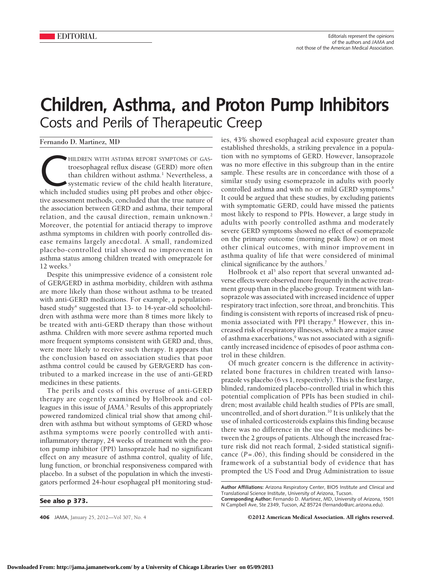## **Children, Asthma, and Proton Pump Inhibitors** Costs and Perils of Therapeutic Creep

Fernando D. Martinez, MD

HILDREN WITH ASTHMA REPORT SYMPTOMS OF GAS-<br>troesophageal reflux disease (GERD) more often<br>than children without asthma.<sup>1</sup> Nevertheless, a<br>systematic review of the child health literature,<br>which included studies using pH troesophageal reflux disease (GERD) more often than children without asthma.<sup>1</sup> Nevertheless, a systematic review of the child health literature, tive assessment methods, concluded that the true nature of the association between GERD and asthma, their temporal relation, and the causal direction, remain unknown.<sup>2</sup> Moreover, the potential for antiacid therapy to improve asthma symptoms in children with poorly controlled disease remains largely anecdotal. A small, randomized placebo-controlled trial showed no improvement in asthma status among children treated with omeprazole for 12 weeks.<sup>3</sup>

Despite this unimpressive evidence of a consistent role of GER/GERD in asthma morbidity, children with asthma are more likely than those without asthma to be treated with anti-GERD medications. For example, a populationbased study<sup>4</sup> suggested that  $13-$  to  $14$ -year-old schoolchildren with asthma were more than 8 times more likely to be treated with anti-GERD therapy than those without asthma. Children with more severe asthma reported much more frequent symptoms consistent with GERD and, thus, were more likely to receive such therapy. It appears that the conclusion based on association studies that poor asthma control could be caused by GER/GERD has contributed to a marked increase in the use of anti-GERD medicines in these patients.

The perils and costs of this overuse of anti-GERD therapy are cogently examined by Holbrook and colleagues in this issue of *JAMA*. <sup>5</sup> Results of this appropriately powered randomized clinical trial show that among children with asthma but without symptoms of GERD whose asthma symptoms were poorly controlled with antiinflammatory therapy, 24 weeks of treatment with the proton pump inhibitor (PPI) lansoprazole had no significant effect on any measure of asthma control, quality of life, lung function, or bronchial responsiveness compared with placebo. In a subset of the population in which the investigators performed 24-hour esophageal pH monitoring stud-

**See also p 373.**

ies, 43% showed esophageal acid exposure greater than established thresholds, a striking prevalence in a population with no symptoms of GERD. However, lansoprazole was no more effective in this subgroup than in the entire sample. These results are in concordance with those of a similar study using esomeprazole in adults with poorly controlled asthma and with no or mild GERD symptoms.<sup>6</sup> It could be argued that these studies, by excluding patients with symptomatic GERD, could have missed the patients most likely to respond to PPIs. However, a large study in adults with poorly controlled asthma and moderately severe GERD symptoms showed no effect of esomeprazole on the primary outcome (morning peak flow) or on most other clinical outcomes, with minor improvement in asthma quality of life that were considered of minimal clinical significance by the authors.<sup>7</sup>

Holbrook et al<sup>5</sup> also report that several unwanted adverse effects were observed more frequently in the active treatment group than in the placebo group. Treatment with lansoprazole was associated with increased incidence of upper respiratory tract infection, sore throat, and bronchitis. This finding is consistent with reports of increased risk of pneumonia associated with PPI therapy.8 However, this increased risk of respiratory illnesses, which are a major cause of asthma exacerbations,<sup>9</sup> was not associated with a significantly increased incidence of episodes of poor asthma control in these children.

Of much greater concern is the difference in activityrelated bone fractures in children treated with lansoprazole vs placebo (6 vs 1, respectively). This is the first large, blinded, randomized placebo-controlled trial in which this potential complication of PPIs has been studied in children; most available child health studies of PPIs are small, uncontrolled, and of short duration.<sup>10</sup> It is unlikely that the use of inhaled corticosteroids explains this finding because there was no difference in the use of these medicines between the 2 groups of patients. Although the increased fracture risk did not reach formal, 2-sided statistical significance (*P*=.06), this finding should be considered in the framework of a substantial body of evidence that has prompted the US Food and Drug Administration to issue

**406** JAMA, January 25, 2012—Vol 307, No. 4 **Case Concrete COLOUS** American Medical Association. All rights reserved.

**Author Affiliations:** Arizona Respiratory Center, BIO5 Institute and Clinical and Translational Science Institute, University of Arizona, Tucson.

**Corresponding Author:** Fernando D. Martinez, MD, University of Arizona, 1501 N Campbell Ave, Ste 2349, Tucson, AZ 85724 (fernando@arc.arizona.edu).